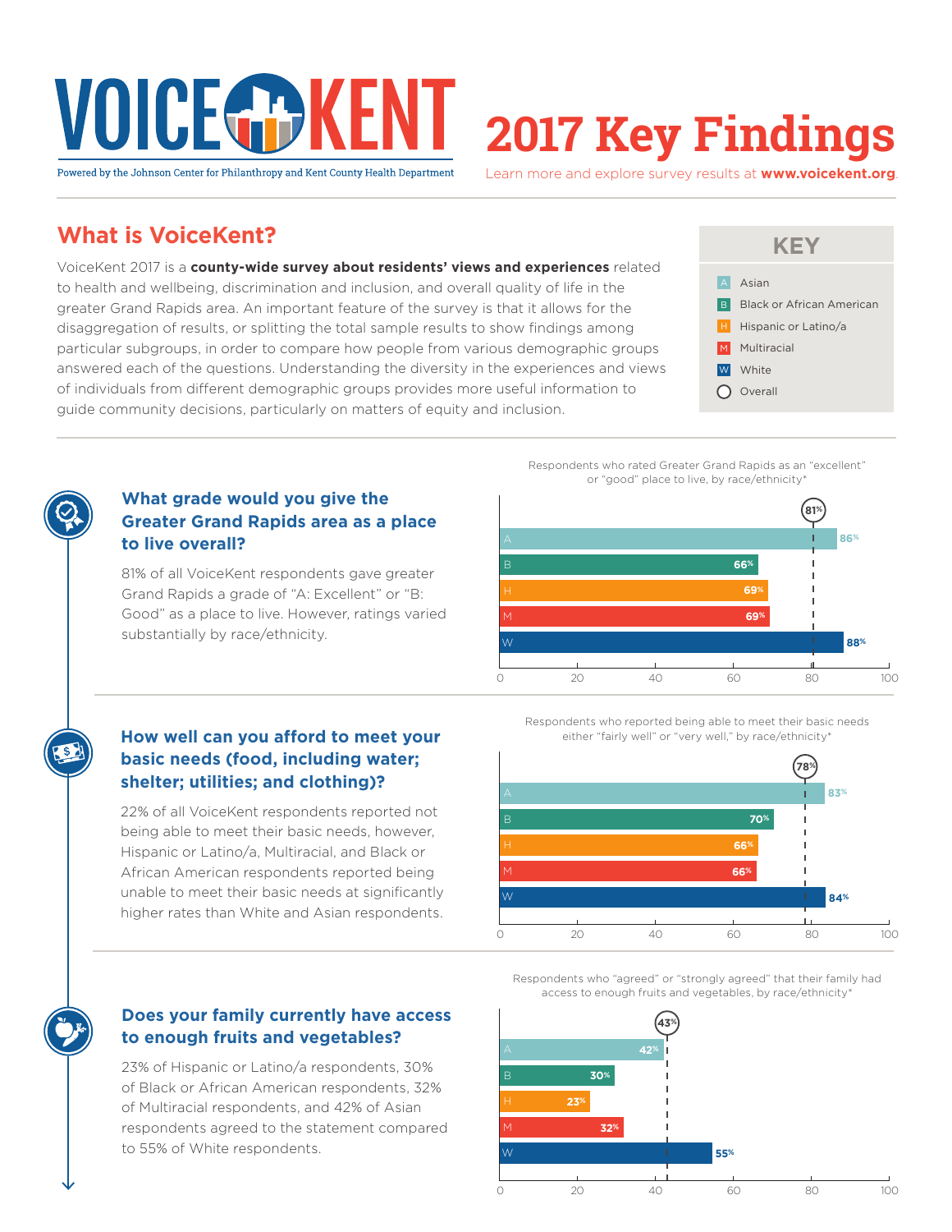# VOICEGE

# **2017 Key Findings**

Powered by the Johnson Center for Philanthropy and Kent County Health Department

Learn more and explore survey results at **www.voicekent.org**.

## **What is VoiceKent?**

VoiceKent 2017 is a **county-wide survey about residents' views and experiences** related to health and wellbeing, discrimination and inclusion, and overall quality of life in the greater Grand Rapids area. An important feature of the survey is that it allows for the disaggregation of results, or splitting the total sample results to show findings among particular subgroups, in order to compare how people from various demographic groups answered each of the questions. Understanding the diversity in the experiences and views of individuals from different demographic groups provides more useful information to guide community decisions, particularly on matters of equity and inclusion.



Respondents who rated Greater Grand Rapids as an "excellent" or "good" place to live, by race/ethnicity\*



#### **What grade would you give the Greater Grand Rapids area as a place to live overall?**

81% of all VoiceKent respondents gave greater Grand Rapids a grade of "A: Excellent" or "B: Good" as a place to live. However, ratings varied substantially by race/ethnicity.

#### **How well can you afford to meet your basic needs (food, including water; shelter; utilities; and clothing)?**

22% of all VoiceKent respondents reported not being able to meet their basic needs, however, Hispanic or Latino/a, Multiracial, and Black or African American respondents reported being unable to meet their basic needs at significantly higher rates than White and Asian respondents.

#### **Does your family currently have access to enough fruits and vegetables?**

23% of Hispanic or Latino/a respondents, 30% of Black or African American respondents, 32% of Multiracial respondents, and 42% of Asian respondents agreed to the statement compared to 55% of White respondents.



Respondents who reported being able to meet their basic needs either "fairly well" or "very well," by race/ethnicity\*